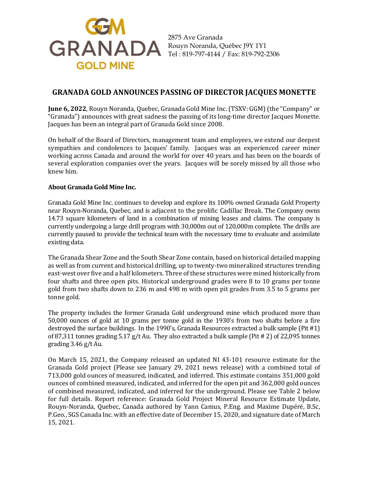

2875 Ave Granada Tel : 819-797-4144 / Fax: 819-792-2306

## **GRANADA GOLD ANNOUNCES PASSING OF DIRECTOR JACQUES MONETTE**

**June 6, 2022**, Rouyn Noranda, Quebec, Granada Gold Mine Inc. (TSXV: GGM) (the "Company" or "Granada") announces with great sadness the passing of its long-time director Jacques Monette. Jacques has been an integral part of Granada Gold since 2008.

On behalf of the Board of Directors, management team and employees, we extend our deepest sympathies and condolences to Jacques' family. Jacques was an experienced career miner working across Canada and around the world for over 40 years and has been on the boards of several exploration companies over the years. Jacques will be sorely missed by all those who knew him.

## **About Granada Gold Mine Inc.**

Granada Gold Mine Inc. continues to develop and explore its 100% owned Granada Gold Property near Rouyn-Noranda, Quebec, and is adjacent to the prolific Cadillac Break. The Company owns 14.73 square kilometers of land in a combination of mining leases and claims. The company is currently undergoing a large drill program with 30,000m out of 120,000m complete. The drills are currently paused to provide the technical team with the necessary time to evaluate and assimilate existing data.

The Granada Shear Zone and the South Shear Zone contain, based on historical detailed mapping as well as from current and historical drilling, up to twenty-two mineralized structures trending east-west over five and a half kilometers. Three of these structures were mined historically from four shafts and three open pits. Historical underground grades were 8 to 10 grams per tonne gold from two shafts down to 236 m and 498 m with open pit grades from 3.5 to 5 grams per tonne gold.

The property includes the former Granada Gold underground mine which produced more than 50,000 ounces of gold at 10 grams per tonne gold in the 1930's from two shafts before a fire destroyed the surface buildings. In the 1990's, Granada Resources extracted a bulk sample (Pit #1) of 87,311 tonnes grading 5.17 g/t Au. They also extracted a bulk sample (Pit # 2) of 22,095 tonnes grading 3.46 g/t Au.

On March 15, 2021, the Company released an updated NI 43-101 resource estimate for the Granada Gold project (Please see January 29, 2021 news release) with a combined total of 713,000 gold ounces of measured, indicated, and inferred. This estimate contains 351,000 gold ounces of combined measured, indicated, and inferred for the open pit and 362,000 gold ounces of combined measured, indicated, and inferred for the underground. Please see Table 2 below for full details. Report reference: Granada Gold Project Mineral Resource Estimate Update, Rouyn-Noranda, Quebec, Canada authored by Yann Camus, P.Eng. and Maxime Dupéré, B.Sc, P.Geo., SGS Canada Inc. with an effective date of December 15, 2020, and signature date of March 15, 2021.